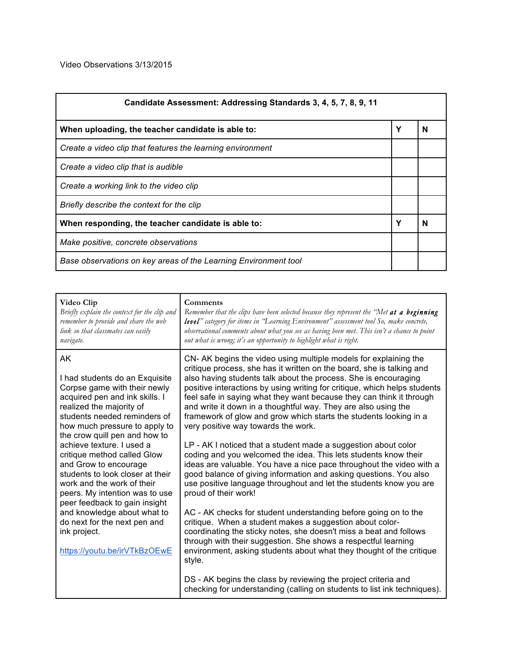Video Observations 3/13/2015

| Candidate Assessment: Addressing Standards 3, 4, 5, 7, 8, 9, 11 |   |   |  |
|-----------------------------------------------------------------|---|---|--|
| When uploading, the teacher candidate is able to:               | Υ | N |  |
| Create a video clip that features the learning environment      |   |   |  |
| Create a video clip that is audible                             |   |   |  |
| Create a working link to the video clip                         |   |   |  |
| Briefly describe the context for the clip                       |   |   |  |
| When responding, the teacher candidate is able to:              |   | N |  |
| Make positive, concrete observations                            |   |   |  |
| Base observations on key areas of the Learning Environment tool |   |   |  |

| Video Clip<br>Briefly explain the context for the clip and<br>remember to provide and share the web<br>link so that classmates can easily<br>navigate.                                                                                                                                                                                                                                                                                                                                                                                                                        | Comments<br>Remember that the clips have been selected because they represent the "Met at a beginning<br><b>level</b> " category for items in "Learning Environment" assessment tool So, make concrete,<br>observational comments about what you see as having been met. This isn't a chance to point<br>out what is wrong; it's an opportunity to highlight what is right.                                                                                                                                                                                                                                                                                                                                                                                                                                                                                                                                                                                                                                                                                                                                                                                                                                                                                                              |
|-------------------------------------------------------------------------------------------------------------------------------------------------------------------------------------------------------------------------------------------------------------------------------------------------------------------------------------------------------------------------------------------------------------------------------------------------------------------------------------------------------------------------------------------------------------------------------|------------------------------------------------------------------------------------------------------------------------------------------------------------------------------------------------------------------------------------------------------------------------------------------------------------------------------------------------------------------------------------------------------------------------------------------------------------------------------------------------------------------------------------------------------------------------------------------------------------------------------------------------------------------------------------------------------------------------------------------------------------------------------------------------------------------------------------------------------------------------------------------------------------------------------------------------------------------------------------------------------------------------------------------------------------------------------------------------------------------------------------------------------------------------------------------------------------------------------------------------------------------------------------------|
| AK<br>I had students do an Exquisite<br>Corpse game with their newly<br>acquired pen and ink skills. I<br>realized the majority of<br>students needed reminders of<br>how much pressure to apply to<br>the crow quill pen and how to<br>achieve texture. I used a<br>critique method called Glow<br>and Grow to encourage<br>students to look closer at their<br>work and the work of their<br>peers. My intention was to use<br>peer feedback to gain insight<br>and knowledge about what to<br>do next for the next pen and<br>ink project.<br>https://youtu.be/irVTkBzOEwE | CN- AK begins the video using multiple models for explaining the<br>critique process, she has it written on the board, she is talking and<br>also having students talk about the process. She is encouraging<br>positive interactions by using writing for critique, which helps students<br>feel safe in saying what they want because they can think it through<br>and write it down in a thoughtful way. They are also using the<br>framework of glow and grow which starts the students looking in a<br>very positive way towards the work.<br>LP - AK I noticed that a student made a suggestion about color<br>coding and you welcomed the idea. This lets students know their<br>ideas are valuable. You have a nice pace throughout the video with a<br>good balance of giving information and asking questions. You also<br>use positive language throughout and let the students know you are<br>proud of their work!<br>AC - AK checks for student understanding before going on to the<br>critique. When a student makes a suggestion about color-<br>coordinating the sticky notes, she doesn't miss a beat and follows<br>through with their suggestion. She shows a respectful learning<br>environment, asking students about what they thought of the critique<br>style. |
|                                                                                                                                                                                                                                                                                                                                                                                                                                                                                                                                                                               | DS - AK begins the class by reviewing the project criteria and<br>checking for understanding (calling on students to list ink techniques).                                                                                                                                                                                                                                                                                                                                                                                                                                                                                                                                                                                                                                                                                                                                                                                                                                                                                                                                                                                                                                                                                                                                               |